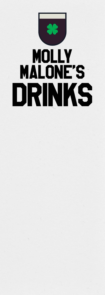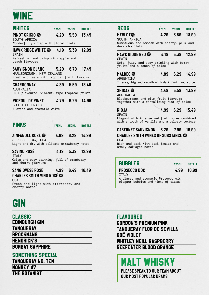# WINE

| <b>WHITES</b>                                                                                                      | 175ML 250ML        | <b>BOTTLE</b> |
|--------------------------------------------------------------------------------------------------------------------|--------------------|---------------|
| PINOT GRIGIO <b>®</b><br>SOUTH AFRICA                                                                              | 4.29 5.59 13.49    |               |
| Wonderfully crisp with floral hints                                                                                |                    |               |
| <b>HAWK RIDGE WHITE @ 4.19 5.39 12.99</b><br>SPAIN<br>Refreshing and crisp with apple and                          |                    |               |
| peach flavours                                                                                                     |                    |               |
| <b>SAUVIGNON BLANC 5.29 6.79 17.49</b><br>MARLBOROUGH, NEW ZEALAND<br>Fresh and zesty with tropical fruit flavours |                    |               |
| <b>CHARDONNAY</b><br><b>AUSTRALIA</b>                                                                              | 4.39 5.59 13.49    |               |
| Full flavoured, vibrant, ripe tropical fruits                                                                      |                    |               |
| PICPOUL DE PINET<br>SOUTH OF FRANCE<br>A crisp and aromatic white                                                  | 4.79 6.29 14.99    |               |
|                                                                                                                    |                    |               |
|                                                                                                                    |                    |               |
| <b>PINKS</b>                                                                                                       | 175ML 250ML BOTTLE |               |
| ZINFANDEL ROSÉ © 4.89 6.29 14.99<br>3 PEBBLE BAY, USA                                                              |                    |               |
|                                                                                                                    |                    |               |
| Light and dry with delicate strawberry notes                                                                       |                    |               |
| SAVINO ROSÉ<br><b>TTALY</b>                                                                                        | 4.19 5.39 12.99    |               |
| Crisp and easy drinking, full of cranberry<br>and cherry flavours                                                  |                    |               |
| SANGIOVESE ROSÉ                                                                                                    | 4.99 6.49 16.49    |               |
| CHARLES SMITH VINO ROSÉ <b>®</b>                                                                                   |                    |               |
| <b>USA</b><br>Fresh and light with strawberry and                                                                  |                    |               |

### REDS *175ML 250ML BOTTLE MERLOT 4.29 5.59 13.99* SOUTH AFRICA Sumptuous and smooth with cherry, plum and dark chocolate *HAWK RIDGE RED 4.19 5.39 12.99* SPAIN Soft, juicy and easy drinking with berry fruits and a touch of spice *MALBEC 4.89 6.29 14.99* ARGENTINA Intense, big and smooth with dark fruit and spice *SHIRAZ 4.49 5.59 13.99* AUSTRALIA Blackcurrant and plum fruit flavours together with a tantalising hint of spice *RIOJA 4.99 6.29 15.49* SPAIN Elegant with intense red fruit notes combined with a touch of vanilla and a velvety texture *CABERNET SAUVIGNON 6.29 7.99 19.99 CHARLES SMITH WINES OF SUBSTANCE* USA Rich and dark with dark fruits and smoky oak-aged notes

| <b>BUBBLES</b>                                                             | <b>125ML</b> | <b>BOTTLE</b> |
|----------------------------------------------------------------------------|--------------|---------------|
| <b>PROSECCO DOC</b><br><b>TTALY</b>                                        |              | 4.99 16.99    |
| A classy and aromatic Prosecco with<br>elegant bubbles and hints of citrus |              |               |

## GIN

cherry notes

| <b>CLASSIC</b>         |  |
|------------------------|--|
| Edinburgh Gin          |  |
| <b>TANOUERAY</b>       |  |
| BROCKMANS              |  |
| <b>HENDRICK'S</b>      |  |
| <b>BOMBAY SAPPHIRE</b> |  |

### SOMETHING SPECIAL

| <b>TANOUERAY NO. TEN</b> |  |
|--------------------------|--|
| <b>MONKEY 47</b>         |  |
| <b>THE BOTANIST</b>      |  |

FLAVOURED GORDON'S PREMIUM PINK TANQUERAY FLOR DE SEVILLA BOË VIOLET WHITLEY NEILL RASPBERRY

BEEFEATER BLOOD ORANGE

MALT WHISKY

*PLEASE SPEAK TO OUR TEAM ABOUT OUR MOST POPULAR DRAMS*